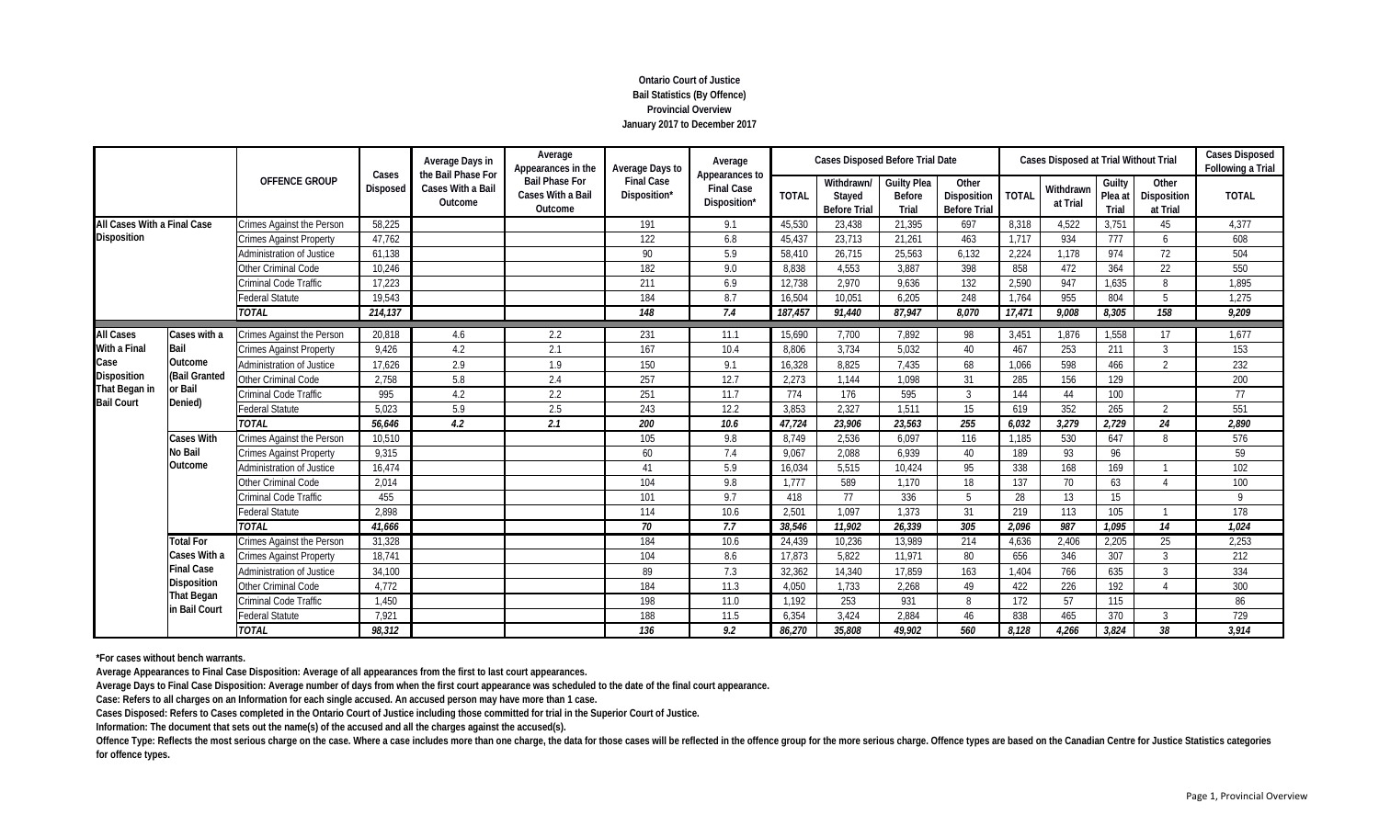# **Ontario Court of Justice Bail Statistics (By Offence) Provincial Overview January 2017 to December 2017**

|                                    |                   |                                  |                 | Average Days in                                                                        | Average<br>Appearances in the                         | Average Days to                   | Average<br>Appearances to         |              | <b>Cases Disposed Before Trial Date</b>     |                                              |                                             |              | <b>Cases Disposed at Trial Without Trial</b> |                            | <b>Cases Disposed</b><br>Following a Trial |              |
|------------------------------------|-------------------|----------------------------------|-----------------|----------------------------------------------------------------------------------------|-------------------------------------------------------|-----------------------------------|-----------------------------------|--------------|---------------------------------------------|----------------------------------------------|---------------------------------------------|--------------|----------------------------------------------|----------------------------|--------------------------------------------|--------------|
|                                    |                   | <b>OFFENCE GROUP</b>             | <b>Disposed</b> | the Bail Phase For<br>Cases<br><b>Cases With a Bail</b><br>Outcome<br>58.225<br>47,762 | <b>Bail Phase For</b><br>Cases With a Bail<br>Outcome | <b>Final Case</b><br>Disposition* | <b>Final Case</b><br>Disposition* | <b>TOTAL</b> | Withdrawn/<br>Stayed<br><b>Before Trial</b> | <b>Guilty Plea</b><br><b>Before</b><br>Trial | Other<br>Disposition<br><b>Before Trial</b> | <b>TOTAL</b> | Withdrawn<br>at Trial                        | Guilty<br>Plea at<br>Trial | Other<br><b>Disposition</b><br>at Trial    | <b>TOTAL</b> |
| All Cases With a Final Case        |                   | <b>Crimes Against the Person</b> |                 |                                                                                        |                                                       | 191                               | 9.1                               | 45.530       | 23,438                                      | 21.395                                       | 697                                         | 8.318        | 4,522                                        | 3,751                      | 45                                         | 4,377        |
| <b>Disposition</b>                 |                   | <b>Crimes Against Property</b>   |                 |                                                                                        |                                                       | 122                               | 6.8                               | 45,437       | 23,713                                      | 21,261                                       | 463                                         | 1.717        | 934                                          | 777                        | 6                                          | 608          |
|                                    |                   | <b>Administration of Justice</b> | 61,138          |                                                                                        |                                                       | 90                                | 5.9                               | 58.410       | 26,715                                      | 25,563                                       | 6.132                                       | 2,224        | 1.178                                        | 974                        | 72                                         | 504          |
|                                    |                   | Other Criminal Code              | 10,246          |                                                                                        |                                                       | 182                               | 9.0                               | 8,838        | 4,553                                       | 3,887                                        | 398                                         | 858          | 472                                          | 364                        | 22                                         | 550          |
|                                    |                   | <b>Criminal Code Traffic</b>     | 17,223          |                                                                                        |                                                       | 211                               | 6.9                               | 12,738       | 2,970                                       | 9.636                                        | 132                                         | 2,590        | 947                                          | 1,635                      | 8                                          | 1,895        |
|                                    |                   | <b>Federal Statute</b>           | 19,543          |                                                                                        |                                                       | 184                               | 8.7                               | 16,504       | 10,051                                      | 6,205                                        | 248                                         | 1,764        | 955                                          | 804                        | 5                                          | 1,275        |
|                                    |                   | <b>TOTAL</b>                     | 214,137         |                                                                                        |                                                       | 148                               | 7.4                               | 187,457      | 91,440                                      | 87,947                                       | 8.070                                       | 17,471       | 9.008                                        | 8,305                      | 158                                        | 9,209        |
| <b>All Cases</b>                   | Cases with a      | Crimes Against the Person        | 20,818          | 4.6                                                                                    | 2.2                                                   | 231                               | 11.1                              | 15.690       | 7.700                                       | 7.892                                        | 98                                          | 3.451        | 1.876                                        | 1.558                      | 17                                         | 1.677        |
| <b>With a Final</b>                | Bail              | <b>Crimes Against Property</b>   | 9.426           | 4.2                                                                                    | 2.1                                                   | 167                               | 10.4                              | 8.806        | 3.734                                       | 5.032                                        | 40                                          | 467          | 253                                          | 211                        | 3                                          | 153          |
| Case                               | Outcome           | Administration of Justice        | 17,626          | 2.9                                                                                    | 1.9                                                   | 150                               | 9.1                               | 16,328       | 8,825                                       | 7,435                                        | 68                                          | 1,066        | 598                                          | 466                        | $\overline{2}$                             | 232          |
| <b>Disposition</b>                 | (Bail Granted     | Other Criminal Code              | 2,758           | 5.8                                                                                    | 2.4                                                   | 257                               | 12.7                              | 2,273        | 1,144                                       | 1.098                                        | 31                                          | 285          | 156                                          | 129                        |                                            | 200          |
| That Began in<br><b>Bail Court</b> | or Bail           | Criminal Code Traffic            | 995             | 4.2                                                                                    | 2.2                                                   | 251                               | 11.7                              | 774          | 176                                         | 595                                          | $\overline{3}$                              | 144          | 44                                           | 100                        |                                            | 77           |
|                                    | Denied)           | <b>Federal Statute</b>           | 5,023           | 5.9                                                                                    | 2.5                                                   | 243                               | 12.2                              | 3,853        | 2,327                                       | 1,511                                        | 15                                          | 619          | 352                                          | 265                        | $\overline{2}$                             | 551          |
|                                    |                   | <b>TOTAL</b>                     | 56.646          | 4.2                                                                                    | 2.1                                                   | 200                               | 10.6                              | 47,724       | 23,906                                      | 23.563                                       | 255                                         | 6,032        | 3,279                                        | 2,729                      | 24                                         | 2,890        |
|                                    | Cases With        | <b>Crimes Against the Person</b> | 10,510          |                                                                                        |                                                       | 105                               | 9.8                               | 8.749        | 2.536                                       | 6.097                                        | 116                                         | 1.185        | 530                                          | 647                        | 8                                          | 576          |
|                                    | No Bail           | <b>Crimes Against Property</b>   | 9,315           |                                                                                        |                                                       | 60                                | 7.4                               | 9.067        | 2,088                                       | 6.939                                        | 40                                          | 189          | 93                                           | 96                         |                                            | 59           |
|                                    | Outcome           | Administration of Justice        | 16,474          |                                                                                        |                                                       | 41                                | 5.9                               | 16.034       | 5,515                                       | 10.424                                       | 95                                          | 338          | 168                                          | 169                        |                                            | 102          |
|                                    |                   | Other Criminal Code              | 2.014           |                                                                                        |                                                       | 104                               | 9.8                               | 1.777        | 589                                         | 1.170                                        | 18                                          | 137          | 70                                           | 63                         | $\boldsymbol{\varLambda}$                  | 100          |
|                                    |                   | <b>Criminal Code Traffic</b>     | 455             |                                                                                        |                                                       | 101                               | 9.7                               | 418          | 77                                          | 336                                          |                                             | 28           | 13                                           | 15                         |                                            | Q            |
|                                    |                   | <b>Federal Statute</b>           | 2,898           |                                                                                        |                                                       | 114                               | 10.6                              | 2,501        | 1,097                                       | 1,373                                        | 31                                          | 219          | 113                                          | 105                        |                                            | 178          |
|                                    |                   | <b>TOTAL</b>                     | 41,666          |                                                                                        |                                                       | 70                                | 7.7                               | 38,546       | 11,902                                      | 26.339                                       | 305                                         | 2,096        | 987                                          | 1,095                      | 14                                         | 1,024        |
|                                    | <b>Total For</b>  | <b>Crimes Against the Person</b> | 31,328          |                                                                                        |                                                       | 184                               | 10.6                              | 24,439       | 10,236                                      | 13,989                                       | 214                                         | 4,636        | 2,406                                        | 2,205                      | 25                                         | 2,253        |
|                                    | Cases With a      | <b>Crimes Against Property</b>   | 18,741          |                                                                                        |                                                       | 104                               | 8.6                               | 17,873       | 5,822                                       | 11,971                                       | 80                                          | 656          | 346                                          | 307                        | $\mathcal{R}$                              | 212          |
|                                    | <b>Final Case</b> | Administration of Justice        | 34,100          |                                                                                        |                                                       | 89                                | 7.3                               | 32,362       | 14,340                                      | 17.859                                       | 163                                         | 1.404        | 766                                          | 635                        | 3                                          | 334          |
|                                    | Disposition       | Other Criminal Code              | 4.772           |                                                                                        |                                                       | 184                               | 11.3                              | 4.050        | 1,733                                       | 2.268                                        | 49                                          | 422          | 226                                          | 192                        |                                            | 300          |
|                                    | <b>That Began</b> | Criminal Code Traffic            | 1,450           |                                                                                        |                                                       | 198                               | 11.0                              | 1,192        | 253                                         | 931                                          | 8                                           | 172          | 57                                           | 115                        |                                            | 86           |
|                                    | in Bail Court     | Federal Statute                  | 7,921           |                                                                                        |                                                       | 188                               | 11.5                              | 6.354        | 3,424                                       | 2.884                                        | 46                                          | 838          | 465                                          | 370                        | 3                                          | 729          |
|                                    |                   | <b>TOTAL</b>                     | 98.312          |                                                                                        |                                                       | 136                               | 9.2                               | 86.270       | 35,808                                      | 49,902                                       | 560                                         | 8.128        | 4.266                                        | 3,824                      | 38                                         | 3.914        |

**\*For cases without bench warrants.**

**Average Appearances to Final Case Disposition: Average of all appearances from the first to last court appearances.**

**Average Days to Final Case Disposition: Average number of days from when the first court appearance was scheduled to the date of the final court appearance.**

**Case: Refers to all charges on an Information for each single accused. An accused person may have more than 1 case.**

**Cases Disposed: Refers to Cases completed in the Ontario Court of Justice including those committed for trial in the Superior Court of Justice.**

**Information: The document that sets out the name(s) of the accused and all the charges against the accused(s).**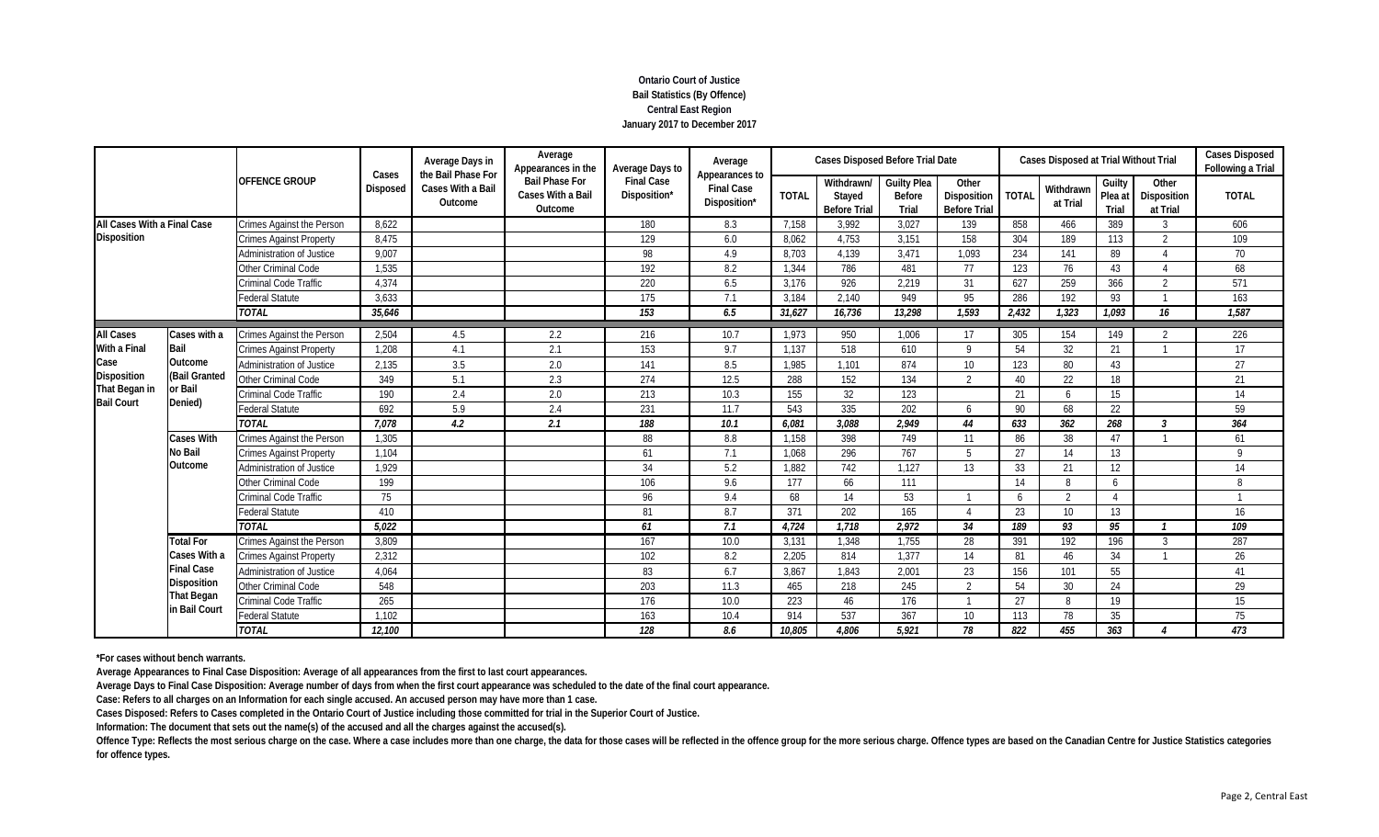# **Ontario Court of Justice Bail Statistics (By Offence) Central East Region January 2017 to December 2017**

|                             |                   | <b>OFFENCE GROUP</b>             | Cases           | Average Days in<br>the Bail Phase For | Average<br>Appearances in the                         | Average Days to                   | Average<br>Appearances to         |              | Cases Disposed Before Trial Date            |                                                     |                                             |              | Cases Disposed at Trial Without Trial |                            |                                  | <b>Cases Disposed</b><br>Following a Trial |
|-----------------------------|-------------------|----------------------------------|-----------------|---------------------------------------|-------------------------------------------------------|-----------------------------------|-----------------------------------|--------------|---------------------------------------------|-----------------------------------------------------|---------------------------------------------|--------------|---------------------------------------|----------------------------|----------------------------------|--------------------------------------------|
|                             |                   |                                  | <b>Disposed</b> | Cases With a Bail<br>Outcome          | <b>Bail Phase For</b><br>Cases With a Bail<br>Outcome | <b>Final Case</b><br>Disposition* | <b>Final Case</b><br>Disposition* | <b>TOTAL</b> | Withdrawn/<br>Stayed<br><b>Before Trial</b> | <b>Guilty Plea</b><br><b>Before</b><br><b>Trial</b> | Other<br>Disposition<br><b>Before Trial</b> | <b>TOTAI</b> | Withdrawn<br>at Trial                 | Guilty<br>Plea at<br>Trial | Other<br>Disposition<br>at Trial | <b>TOTAL</b>                               |
| All Cases With a Final Case |                   | Crimes Against the Person        | 8.622           |                                       |                                                       | 180                               | 8.3                               | 7,158        | 3.992                                       | 3.027                                               | 139                                         | 858          | 466                                   | 389                        | 3                                | 606                                        |
| Disposition                 |                   | <b>Crimes Against Property</b>   | 8,475           |                                       |                                                       | 129                               | 6.0                               | 8,062        | 4,753                                       | 3,151                                               | 158                                         | 304          | 189                                   | 113                        | $\overline{2}$                   | 109                                        |
|                             |                   | Administration of Justice        | 9,007           |                                       |                                                       | 98                                | 4.9                               | 8,703        | 4,139                                       | 3.471                                               | 1,093                                       | 234          | 141                                   | 89                         | $\Delta$                         | 70                                         |
|                             |                   | Other Criminal Code              | 1,535           |                                       |                                                       | 192                               | 8.2                               | 1,344        | 786                                         | 481                                                 | 77                                          | 123          | 76                                    | 43                         |                                  | 68                                         |
|                             |                   | Criminal Code Traffic            | 4,374           |                                       |                                                       | 220                               | 6.5                               | 3,176        | 926                                         | 2.219                                               | 31                                          | 627          | 259                                   | 366                        | $\overline{2}$                   | 571                                        |
|                             |                   | <b>Federal Statute</b>           | 3,633           |                                       |                                                       | 175                               | 7.1                               | 3,184        | 2,140                                       | 949                                                 | 95                                          | 286          | 192                                   | 93                         |                                  | 163                                        |
|                             |                   | <b>TOTAL</b>                     | 35,646          |                                       |                                                       | 153                               | 6.5                               | 31,627       | 16,736                                      | 13,298                                              | 1,593                                       | 2,432        | 1,323                                 | 1,093                      | 16                               | 1,587                                      |
| <b>All Cases</b>            | Cases with a      | Crimes Against the Person        | 2,504           | 4.5                                   | 2.2                                                   | 216                               | 10.7                              | 1,973        | 950                                         | 1.006                                               | 17                                          | 305          | 154                                   | 149                        | 2                                | 226                                        |
| <b>With a Final</b>         | Bail              | <b>Crimes Against Property</b>   | 1,208           | 4.1                                   | 2.1                                                   | 153                               | 9.7                               | 1,137        | 518                                         | 610                                                 | $\mathsf Q$                                 | 54           | 32                                    | 21                         |                                  | 17                                         |
| Case                        | Outcome           | Administration of Justice        | 2,135           | 3.5                                   | 2.0                                                   | 141                               | 8.5                               | 1,985        | 1,101                                       | 874                                                 | 10 <sup>°</sup>                             | 123          | 80                                    | 43                         |                                  | 27                                         |
| <b>Disposition</b>          | (Bail Granted     | Other Criminal Code              | 349             | 5.1                                   | 2.3                                                   | 274                               | 12.5                              | 288          | 152                                         | 134                                                 | 2                                           | 40           | 22                                    | 18                         |                                  | 21                                         |
| That Began in               | or Bail           | Criminal Code Traffic            | 190             | 2.4                                   | 2.0                                                   | 213                               | 10.3                              | 155          | 32                                          | 123                                                 |                                             | 21           | 6                                     | 15                         |                                  | 14                                         |
| <b>Bail Court</b>           | Denied)           | <b>Federal Statute</b>           | 692             | 5.9                                   | 2.4                                                   | 231                               | 11.7                              | 543          | 335                                         | 202                                                 | 6                                           | 90           | 68                                    | 22                         |                                  | 59                                         |
|                             |                   | <b>TOTAL</b>                     | 7,078           | 4.2                                   | 2.1                                                   | 188                               | 10.1                              | 6,081        | 3,088                                       | 2,949                                               | 44                                          | 633          | 362                                   | 268                        | 3                                | 364                                        |
|                             | <b>Cases With</b> | <b>Crimes Against the Person</b> | 1,305           |                                       |                                                       | 88                                | 8.8                               | 1,158        | 398                                         | 749                                                 | 11                                          | 86           | 38                                    | 47                         |                                  | 61                                         |
|                             | No Bail           | <b>Crimes Against Property</b>   | 1,104           |                                       |                                                       | 61                                | 7.1                               | 1,068        | 296                                         | 767                                                 | 5                                           | 27           | 14                                    | 13                         |                                  | 9                                          |
|                             | Outcome           | <b>Administration of Justice</b> | 1,929           |                                       |                                                       | 34                                | 5.2                               | 1,882        | 742                                         | 1.127                                               | 13                                          | 33           | 21                                    | 12                         |                                  | 14                                         |
|                             |                   | Other Criminal Code              | 199             |                                       |                                                       | 106                               | 9.6                               | 177          | 66                                          | 111                                                 |                                             | 14           | 8                                     | 6                          |                                  | 8                                          |
|                             |                   | Criminal Code Traffic            | 75              |                                       |                                                       | 96                                | 9.4                               | 68           | 14                                          | 53                                                  |                                             | 6            | 2                                     | $\boldsymbol{\varLambda}$  |                                  |                                            |
|                             |                   | <b>Federal Statute</b>           | 410             |                                       |                                                       | 81                                | 8.7                               | 371          | 202                                         | 165                                                 |                                             | 23           | 10 <sup>°</sup>                       | 13                         |                                  | 16                                         |
|                             |                   | <b>TOTAL</b>                     | 5,022           |                                       |                                                       | 61                                | 7.1                               | 4,724        | 1,718                                       | 2,972                                               | 34                                          | 189          | 93                                    | 95                         |                                  | $\overline{109}$                           |
|                             | <b>Total For</b>  | Crimes Against the Person        | 3,809           |                                       |                                                       | 167                               | 10.0                              | 3,131        | 1,348                                       | 1,755                                               | 28                                          | 391          | 192                                   | 196                        | 3                                | 287                                        |
|                             | Cases With a      | Crimes Against Property          | 2,312           |                                       |                                                       | 102                               | 8.2                               | 2,205        | 814                                         | 1,377                                               | 14                                          | 81           | 46                                    | 34                         |                                  | 26                                         |
|                             | <b>Final Case</b> | <b>Administration of Justice</b> | 4,064           |                                       |                                                       | 83                                | 6.7                               | 3,867        | 1,843                                       | 2,001                                               | 23                                          | 156          | 101                                   | 55                         |                                  | 41                                         |
|                             | Disposition       | Other Criminal Code              | 548             |                                       |                                                       | 203                               | 11.3                              | 465          | 218                                         | 245                                                 | $\overline{2}$                              | 54           | 30                                    | 24                         |                                  | 29                                         |
|                             | <b>That Began</b> | Criminal Code Traffic            | 265             |                                       |                                                       | 176                               | 10.0                              | 223          | 46                                          | 176                                                 |                                             | 27           | 8                                     | 19                         |                                  | 15                                         |
|                             | in Bail Court     | Federal Statute                  | 1,102           |                                       |                                                       | 163                               | 10.4                              | 914          | 537                                         | 367                                                 | 10                                          | 113          | 78                                    | 35                         |                                  | 75                                         |
|                             |                   | <b>TOTAL</b>                     | 12,100          |                                       |                                                       | 128                               | 8.6                               | 10,805       | 4.806                                       | 5.921                                               | 78                                          | 822          | 455                                   | 363                        |                                  | 473                                        |

**\*For cases without bench warrants.**

**Average Appearances to Final Case Disposition: Average of all appearances from the first to last court appearances.**

**Average Days to Final Case Disposition: Average number of days from when the first court appearance was scheduled to the date of the final court appearance.**

**Case: Refers to all charges on an Information for each single accused. An accused person may have more than 1 case.**

**Cases Disposed: Refers to Cases completed in the Ontario Court of Justice including those committed for trial in the Superior Court of Justice.**

**Information: The document that sets out the name(s) of the accused and all the charges against the accused(s).**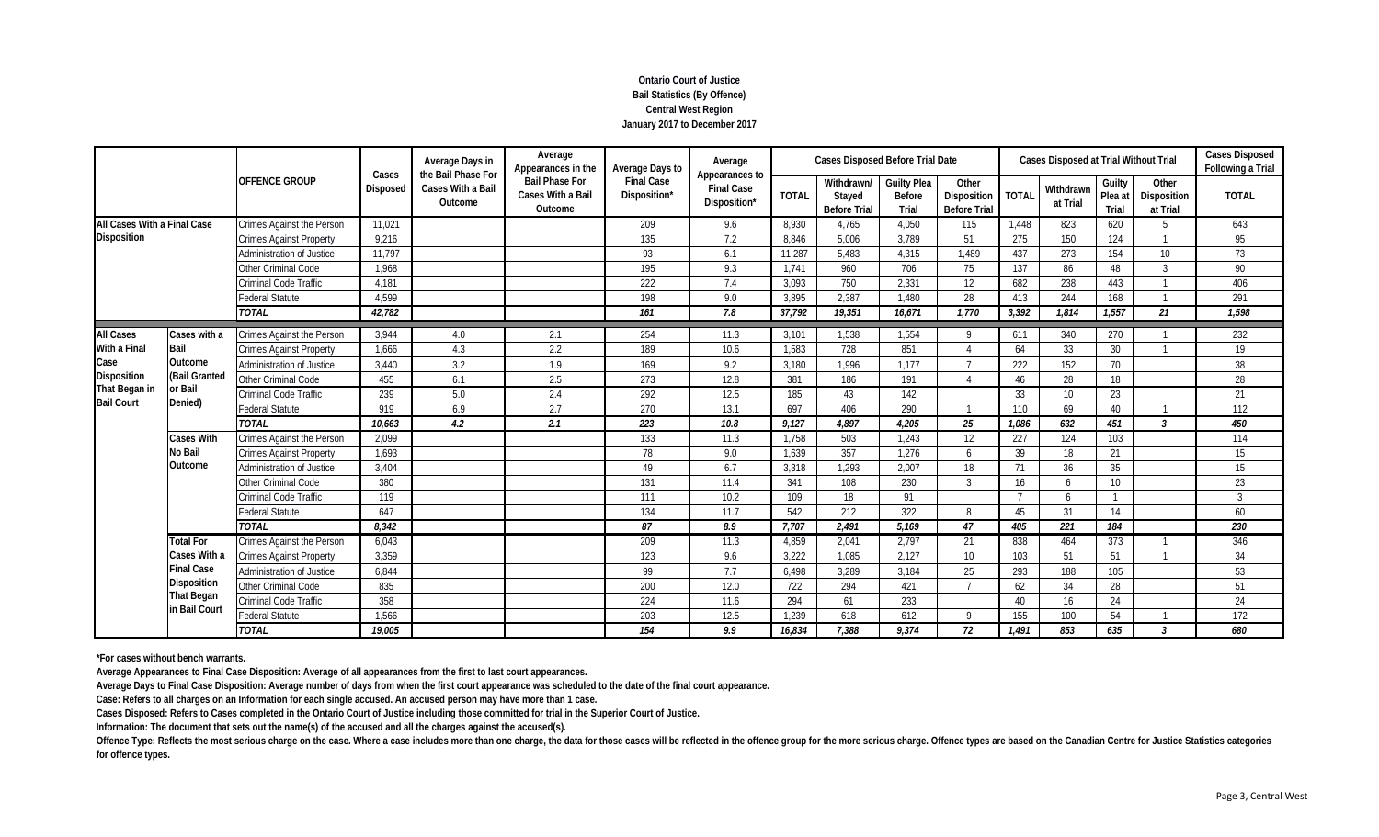# **Ontario Court of Justice Bail Statistics (By Offence) Central West Region January 2017 to December 2017**

|                             |                                    |                                  | Cases<br>Disposed | Average Days in<br>the Bail Phase For | Average<br>Appearances in the                         | Average Days to                   | Average<br>Appearances to         |              | <b>Cases Disposed Before Trial Date</b>     |                                              |                                             |              | Cases Disposed at Trial Without Trial |                            |                                  | <b>Cases Disposed</b><br>Following a Trial |
|-----------------------------|------------------------------------|----------------------------------|-------------------|---------------------------------------|-------------------------------------------------------|-----------------------------------|-----------------------------------|--------------|---------------------------------------------|----------------------------------------------|---------------------------------------------|--------------|---------------------------------------|----------------------------|----------------------------------|--------------------------------------------|
|                             |                                    | <b>OFFENCE GROUP</b>             |                   | Cases With a Bail<br>Outcome          | <b>Bail Phase For</b><br>Cases With a Bail<br>Outcome | <b>Final Case</b><br>Disposition* | <b>Final Case</b><br>Disposition* | <b>TOTAL</b> | Withdrawn/<br>Stayed<br><b>Before Trial</b> | <b>Guilty Plea</b><br><b>Before</b><br>Trial | Other<br>Disposition<br><b>Before Trial</b> | <b>TOTAI</b> | Withdrawn<br>at Trial                 | Guilty<br>Plea at<br>Trial | Other<br>Disposition<br>at Trial | <b>TOTAL</b>                               |
| All Cases With a Final Case |                                    | Crimes Against the Person        | 11,021            |                                       |                                                       | 209                               | 9.6                               | 8,930        | 4,765                                       | 4.050                                        | 115                                         | 1.448        | 823                                   | 620                        | .5                               | 643                                        |
| <b>Disposition</b>          |                                    | <b>Crimes Against Property</b>   | 9,216             |                                       |                                                       | 135                               | 7.2                               | 8,846        | 5,006                                       | 3,789                                        | 51                                          | 275          | 150                                   | 124                        |                                  | 95                                         |
|                             |                                    | Administration of Justice        | 11,797            |                                       |                                                       | 93                                | 6.1                               | 11,287       | 5,483                                       | 4,315                                        | 1,489                                       | 437          | 273                                   | 154                        | 10 <sup>°</sup>                  | 73                                         |
|                             |                                    | <b>Other Criminal Code</b>       | 1,968             |                                       |                                                       | 195                               | 9.3                               | 1.741        | 960                                         | 706                                          | 75                                          | 137          | 86                                    | 48                         | 3                                | 90                                         |
|                             |                                    | <b>Criminal Code Traffic</b>     | 4,181             |                                       |                                                       | 222                               | 7.4                               | 3.093        | 750                                         | 2.331                                        | 12                                          | 682          | 238                                   | 443                        |                                  | 406                                        |
|                             |                                    | <b>Federal Statute</b>           | 4,599             |                                       |                                                       | 198                               | 9.0                               | 3.895        | 2.387                                       | 1.480                                        | 28                                          | 413          | 244                                   | 168                        |                                  | 291                                        |
|                             |                                    | <b>TOTAL</b>                     | 42,782            |                                       |                                                       | 161                               | 7.8                               | 37.792       | 19,351                                      | 16.671                                       | 1,770                                       | 3,392        | 1.814                                 | 1,557                      | 21                               | 1,598                                      |
| <b>All Cases</b>            | Cases with a                       | Crimes Against the Person        | 3,944             | 4.0                                   | 2.1                                                   | 254                               | 11.3                              | 3,101        | 1,538                                       | 1,554                                        | O                                           | 611          | 340                                   | 270                        |                                  | 232                                        |
| <b>With a Final</b>         | Bail                               | <b>Crimes Against Property</b>   | 1,666             | 4.3                                   | 2.2                                                   | 189                               | 10.6                              | 1,583        | 728                                         | 851                                          |                                             | 64           | 33                                    | 30                         |                                  | 19                                         |
| Case                        | Outcome                            | Administration of Justice        | 3,440             | 3.2                                   | 1.9                                                   | 169                               | 9.2                               | 3,180        | 1,996                                       | 1.177                                        |                                             | 222          | 152                                   | 70                         |                                  | 38                                         |
| Disposition                 | (Bail Granted                      | Other Criminal Code              | 455               | 6.1                                   | 2.5                                                   | 273                               | 12.8                              | 381          | 186                                         | 191                                          |                                             | 46           | 28                                    | 18                         |                                  | 28                                         |
| That Began in               | or Bail                            | Criminal Code Traffic            | 239               | 5.0                                   | 2.4                                                   | 292                               | 12.5                              | 185          | 43                                          | 142                                          |                                             | 33           | 10 <sup>1</sup>                       | 23                         |                                  | 21                                         |
| <b>Bail Court</b>           | Denied)                            | <b>Federal Statute</b>           | 919               | 6.9                                   | 2.7                                                   | 270                               | 13.1                              | 697          | 406                                         | 290                                          |                                             | 110          | 69                                    | 40                         |                                  | 112                                        |
|                             |                                    | <b>TOTAL</b>                     | 10.663            | 4.2                                   | 2.1                                                   | 223                               | 10.8                              | 9,127        | 4.897                                       | 4.205                                        | 25                                          | 1.086        | 632                                   | 451                        | $\mathcal{E}$                    | 450                                        |
|                             | <b>Cases With</b>                  | Crimes Against the Person        | 2,099             |                                       |                                                       | 133                               | 11.3                              | 1,758        | 503                                         | 1.243                                        | 12                                          | 227          | 124                                   | 103                        |                                  | 114                                        |
|                             | <b>No Bail</b>                     | <b>Crimes Against Property</b>   | 1,693             |                                       |                                                       | 78                                | 9.0                               | 1,639        | 357                                         | 1.276                                        | 6                                           | 39           | 18                                    | 21                         |                                  | 15                                         |
|                             | Outcome                            | Administration of Justice        | 3,404             |                                       |                                                       | 49                                | 6.7                               | 3,318        | 1,293                                       | 2,007                                        | 18                                          | 71           | 36                                    | 35                         |                                  | 15                                         |
|                             |                                    | Other Criminal Code              | 380               |                                       |                                                       | 131                               | 11.4                              | 341          | 108                                         | 230                                          | $\mathcal{R}$                               | 16           | 6                                     | 10 <sup>°</sup>            |                                  | 23                                         |
|                             |                                    | <b>Criminal Code Traffic</b>     | 119               |                                       |                                                       | 111                               | 10.2                              | 109          | 18                                          | 91                                           |                                             |              | 6                                     |                            |                                  | 3                                          |
|                             |                                    | <b>Federal Statute</b>           | 647               |                                       |                                                       | 134                               | 11.7                              | 542          | 212                                         | 322                                          | 8                                           | 45           | 31                                    | 14                         |                                  | 60                                         |
|                             |                                    | <b>TOTAL</b>                     | 8,342             |                                       |                                                       | 87                                | 8.9                               | 7,707        | 2,491                                       | 5,169                                        | 47                                          | 405          | $\overline{221}$                      | 184                        |                                  | 230                                        |
|                             | <b>Total For</b>                   | <b>Crimes Against the Person</b> | 6,043             |                                       |                                                       | 209                               | 11.3                              | 4,859        | 2,041                                       | 2,797                                        | 21                                          | 838          | 464                                   | 373                        |                                  | 346                                        |
|                             | Cases With a                       | Crimes Against Property          | 3,359             |                                       |                                                       | 123                               | 9.6                               | 3,222        | 1,085                                       | 2,127                                        | 10                                          | 103          | 51                                    | 51                         |                                  | 34                                         |
|                             | <b>Final Case</b>                  | <b>Administration of Justice</b> | 6,844             |                                       |                                                       | 99                                | 7.7                               | 6,498        | 3,289                                       | 3.184                                        | 25                                          | 293          | 188                                   | 105                        |                                  | 53                                         |
|                             | Disposition                        | Other Criminal Code              | 835               |                                       |                                                       | 200                               | 12.0                              | 722          | 294                                         | 421                                          | $\mathbf{z}$                                | 62           | 34                                    | 28                         |                                  | 51                                         |
|                             | <b>That Began</b><br>in Bail Court | Criminal Code Traffic            | 358               |                                       |                                                       | 224                               | 11.6                              | 294          | 61                                          | 233                                          |                                             | 40           | 16                                    | 24                         |                                  | 24                                         |
|                             |                                    | Federal Statute                  | 1,566             |                                       |                                                       | 203                               | 12.5                              | 1.239        | 618                                         | 612                                          | $\Omega$                                    | 155          | 100                                   | 54                         |                                  | 172                                        |
|                             |                                    | <b>TOTAL</b>                     | 19,005            |                                       |                                                       | 154                               | 9.9                               | 16.834       | 7,388                                       | 9.374                                        | 72                                          | 1,491        | 853                                   | 635                        | $\mathcal{E}$                    | 680                                        |

**\*For cases without bench warrants.**

**Average Appearances to Final Case Disposition: Average of all appearances from the first to last court appearances.**

**Average Days to Final Case Disposition: Average number of days from when the first court appearance was scheduled to the date of the final court appearance.**

**Case: Refers to all charges on an Information for each single accused. An accused person may have more than 1 case.**

**Cases Disposed: Refers to Cases completed in the Ontario Court of Justice including those committed for trial in the Superior Court of Justice.**

**Information: The document that sets out the name(s) of the accused and all the charges against the accused(s).**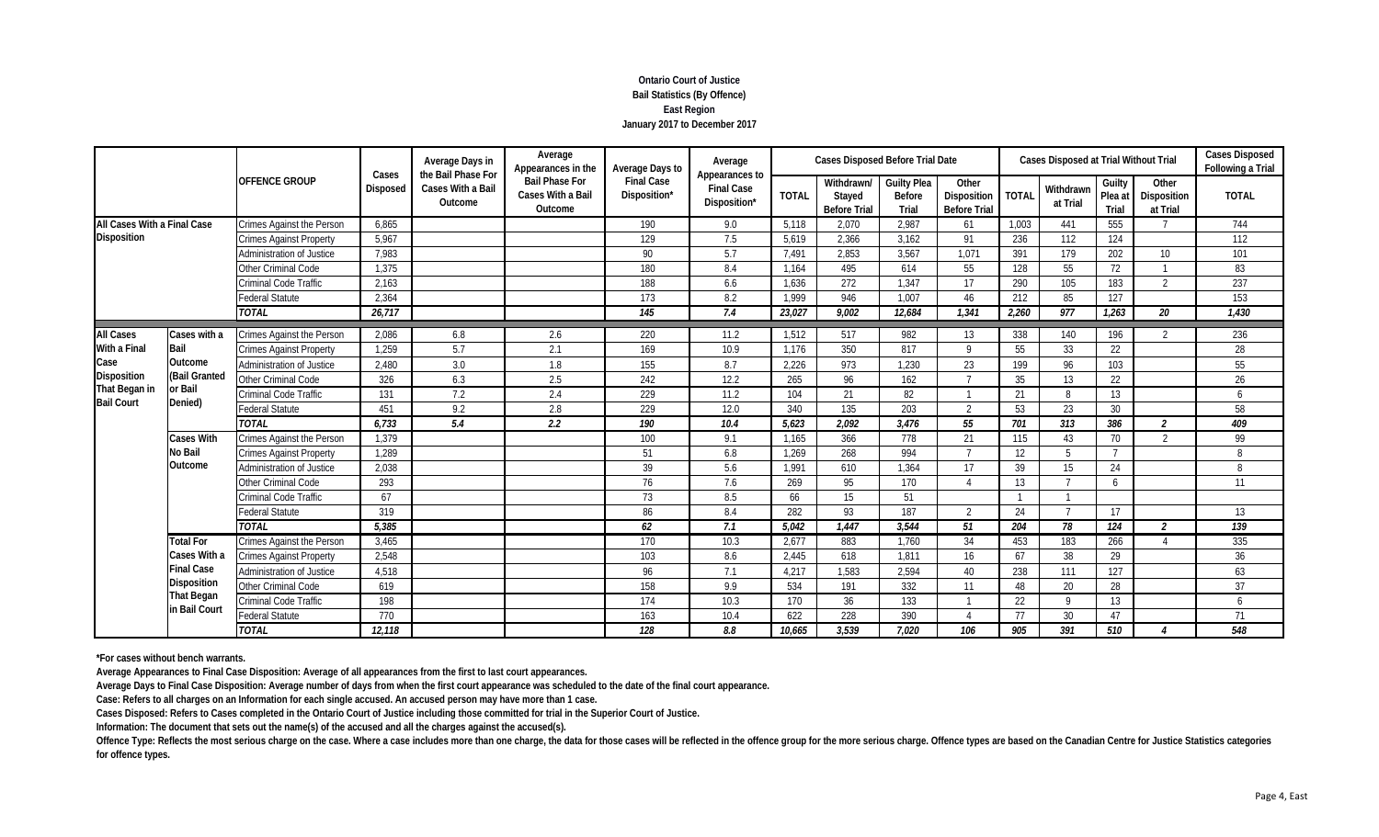# **Ontario Court of Justice Bail Statistics (By Offence) East Region January 2017 to December 2017**

|                             |                     |                                  | Cases           | Average Days in<br>the Bail Phase For | Average<br>Appearances in the                         | Average Days to                   | Average<br>Appearances to         |              | <b>Cases Disposed Before Trial Date</b>     |                                              |                                             |              | Cases Disposed at Trial Without Trial |                            |                                  | <b>Cases Disposed</b><br><b>Following a Trial</b> |
|-----------------------------|---------------------|----------------------------------|-----------------|---------------------------------------|-------------------------------------------------------|-----------------------------------|-----------------------------------|--------------|---------------------------------------------|----------------------------------------------|---------------------------------------------|--------------|---------------------------------------|----------------------------|----------------------------------|---------------------------------------------------|
|                             |                     | <b>OFFENCE GROUP</b>             | <b>Disposed</b> | Cases With a Bail<br>Outcome          | <b>Bail Phase For</b><br>Cases With a Bail<br>Outcome | <b>Final Case</b><br>Disposition* | <b>Final Case</b><br>Disposition* | <b>TOTAL</b> | Withdrawn/<br>Stayed<br><b>Before Trial</b> | <b>Guilty Plea</b><br><b>Before</b><br>Trial | Other<br>Disposition<br><b>Before Trial</b> | <b>TOTAL</b> | Withdrawn<br>at Trial                 | Guilty<br>Plea at<br>Trial | Other<br>Disposition<br>at Trial | <b>TOTAL</b>                                      |
| All Cases With a Final Case |                     | Crimes Against the Person        | 6,865           |                                       |                                                       | 190                               | 9.0                               | 5,118        | 2,070                                       | 2.987                                        | 61                                          | 1,003        | 441                                   | 555                        | 7                                | 744                                               |
| <b>Disposition</b>          |                     | <b>Crimes Against Property</b>   | 5,967           |                                       |                                                       | 129                               | 7.5                               | 5.619        | 2,366                                       | 3.162                                        | 91                                          | 236          | 112                                   | 124                        |                                  | 112                                               |
|                             |                     | Administration of Justice        | 7,983           |                                       |                                                       | 90                                | 5.7                               | 7,491        | 2,853                                       | 3,567                                        | 1.071                                       | 391          | 179                                   | 202                        | 10 <sup>°</sup>                  | 101                                               |
|                             |                     | Other Criminal Code              | 1,375           |                                       |                                                       | 180                               | 8.4                               | 1,164        | 495                                         | 614                                          | 55                                          | 128          | 55                                    | 72                         |                                  | 83                                                |
|                             |                     | Criminal Code Traffic            | 2,163           |                                       |                                                       | 188                               | 6.6                               | 1,636        | 272                                         | 1,347                                        | 17                                          | 290          | 105                                   | 183                        | $\overline{2}$                   | 237                                               |
|                             |                     | <b>Federal Statute</b>           | 2,364           |                                       |                                                       | 173                               | 8.2                               | 1.999        | 946                                         | 1.007                                        | 46                                          | 212          | 85                                    | 127                        |                                  | 153                                               |
|                             |                     | <b>TOTAL</b>                     | 26,717          |                                       |                                                       | 145                               | 7.4                               | 23.027       | 9.002                                       | 12.684                                       | 1.341                                       | 2.260        | 977                                   | 1,263                      | 20                               | 1.430                                             |
| <b>All Cases</b>            | Cases with a        | <b>Crimes Against the Person</b> | 2,086           | 6.8                                   | 2.6                                                   | 220                               | 11.2                              | 1,512        | 517                                         | 982                                          | 13                                          | 338          | 140                                   | 196                        | $\overline{2}$                   | 236                                               |
| With a Final                | Bail                | <b>Crimes Against Property</b>   | 1,259           | 5.7                                   | 2.1                                                   | 169                               | 10.9                              | 1,176        | 350                                         | 817                                          | $\mathsf Q$                                 | 55           | 33                                    | 22                         |                                  | 28                                                |
| Case                        | Outcome             | <b>Administration of Justice</b> | 2,480           | 3.0                                   | 1.8                                                   | 155                               | 8.7                               | 2,226        | 973                                         | 1.230                                        | 23                                          | 199          | 96                                    | 103                        |                                  | 55                                                |
| Disposition                 | (Bail Granted       | Other Criminal Code              | 326             | 6.3                                   | 2.5                                                   | 242                               | 12.2                              | 265          | 96                                          | 162                                          |                                             | 35           | 13                                    | 22                         |                                  | 26                                                |
| That Began in               | or Bail             | Criminal Code Traffic            | 131             | 7.2                                   | 2.4                                                   | 229                               | 11.2                              | 104          | 21                                          | 82                                           |                                             | 21           | 8                                     | 13                         |                                  | 6                                                 |
| <b>Bail Court</b>           | Denied)             | <b>Federal Statute</b>           | 451             | 9.2                                   | 2.8                                                   | 229                               | 12.0                              | 340          | 135                                         | 203                                          | $\mathcal{L}$                               | 53           | 23                                    | 30                         |                                  | 58                                                |
|                             |                     | <b>TOTAL</b>                     | 6,733           | 5.4                                   | 2.2                                                   | 190                               | 10.4                              | 5.623        | 2,092                                       | 3,476                                        | 55                                          | 701          | 313                                   | 386                        | $\mathfrak{p}$                   | 409                                               |
|                             | <b>Cases With</b>   | <b>Crimes Against the Person</b> | 1,379           |                                       |                                                       | 100                               | 9.1                               | 1,165        | 366                                         | 778                                          | 21                                          | 115          | 43                                    | 70                         | $\overline{2}$                   | 99                                                |
|                             | <b>No Bail</b>      | <b>Crimes Against Property</b>   | 1,289           |                                       |                                                       | 51                                | 6.8                               | 1,269        | 268                                         | 994                                          | $\overline{ }$                              | 12           | 5                                     | $\overline{7}$             |                                  | 8                                                 |
|                             | Outcome             | <b>Administration of Justice</b> | 2,038           |                                       |                                                       | 39                                | 5.6                               | 1.991        | 610                                         | 1,364                                        | 17                                          | 39           | 15                                    | 24                         |                                  | 8                                                 |
|                             |                     | Other Criminal Code              | 293             |                                       |                                                       | 76                                | 7.6                               | 269          | 95                                          | 170                                          |                                             | 13           |                                       | 6                          |                                  | 11                                                |
|                             |                     | Criminal Code Traffic            | 67              |                                       |                                                       | 73                                | 8.5                               | 66           | 15                                          | 51                                           |                                             |              |                                       |                            |                                  |                                                   |
|                             |                     | <b>Federal Statute</b>           | 319             |                                       |                                                       | 86                                | 8.4                               | 282          | 93                                          | 187                                          | $\overline{2}$                              | 24           |                                       | 17                         |                                  | 13                                                |
|                             |                     | <b>TOTAL</b>                     | 5,385           |                                       |                                                       | 62                                | 7.1                               | 5,042        | 1,447                                       | 3,544                                        | 51                                          | 204          | 78                                    | 124                        | 2                                | 139                                               |
|                             | <b>Total For</b>    | Crimes Against the Person        | 3,465           |                                       |                                                       | 170                               | 10.3                              | 2,677        | 883                                         | 1,760                                        | 34                                          | 453          | 183                                   | 266                        |                                  | 335                                               |
|                             | <b>Cases With a</b> | <b>Crimes Against Property</b>   | 2,548           |                                       |                                                       | 103                               | 8.6                               | 2,445        | 618                                         | 1,811                                        | 16                                          | 67           | 38                                    | 29                         |                                  | 36                                                |
|                             | <b>Final Case</b>   | Administration of Justice        | 4,518           |                                       |                                                       | 96                                | 7.1                               | 4,217        | 1,583                                       | 2,594                                        | 40                                          | 238          | 111                                   | 127                        |                                  | 63                                                |
|                             | Disposition         | Other Criminal Code              | 619             |                                       |                                                       | 158                               | 9.9                               | 534          | 191                                         | 332                                          | 11                                          | 48           | 20                                    | 28                         |                                  | 37                                                |
|                             | <b>That Began</b>   | Criminal Code Traffic            | 198             |                                       |                                                       | 174                               | 10.3                              | 170          | 36                                          | 133                                          |                                             | 22           | 9                                     | 13                         |                                  | 6                                                 |
|                             | in Bail Court       | Federal Statute                  | 770             |                                       |                                                       | 163                               | 10.4                              | 622          | 228                                         | 390                                          |                                             | 77           | 30                                    | 47                         |                                  | 71                                                |
|                             |                     | <b>TOTAL</b>                     | 12,118          |                                       |                                                       | 128                               | 8.8                               | 10,665       | 3,539                                       | 7.020                                        | 106                                         | 905          | 391                                   | 510                        |                                  | 548                                               |

**\*For cases without bench warrants.**

**Average Appearances to Final Case Disposition: Average of all appearances from the first to last court appearances.**

**Average Days to Final Case Disposition: Average number of days from when the first court appearance was scheduled to the date of the final court appearance.**

**Case: Refers to all charges on an Information for each single accused. An accused person may have more than 1 case.**

**Cases Disposed: Refers to Cases completed in the Ontario Court of Justice including those committed for trial in the Superior Court of Justice.**

**Information: The document that sets out the name(s) of the accused and all the charges against the accused(s).**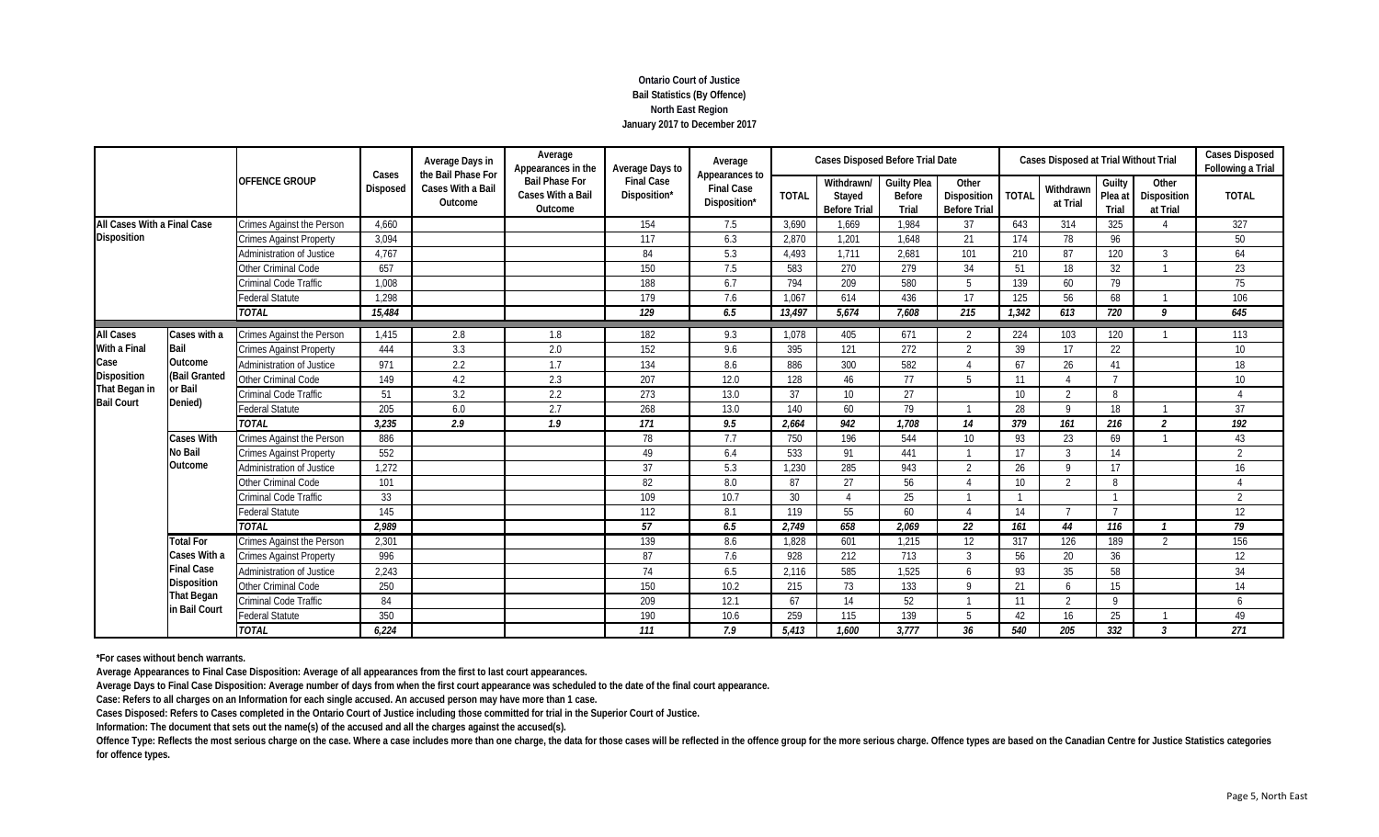# **Ontario Court of Justice Bail Statistics (By Offence) North East Region January 2017 to December 2017**

|                             |                   | <b>OFFENCE GROUP</b><br>Crimes Against the Person<br><b>Crimes Against Property</b><br>Administration of Justice | Cases           | Average Days in<br>the Bail Phase For | Average<br>Appearances in the                         | Average Days to                   | Average                                             |              | <b>Cases Disposed Before Trial Date</b>     |                                              |                                             |                 | Cases Disposed at Trial Without Trial |                            |                                  | <b>Cases Disposed</b><br>Following a Trial |
|-----------------------------|-------------------|------------------------------------------------------------------------------------------------------------------|-----------------|---------------------------------------|-------------------------------------------------------|-----------------------------------|-----------------------------------------------------|--------------|---------------------------------------------|----------------------------------------------|---------------------------------------------|-----------------|---------------------------------------|----------------------------|----------------------------------|--------------------------------------------|
|                             |                   |                                                                                                                  | <b>Disposed</b> | Cases With a Bail<br>Outcome          | <b>Bail Phase For</b><br>Cases With a Bail<br>Outcome | <b>Final Case</b><br>Disposition* | Appearances to<br><b>Final Case</b><br>Disposition* | <b>TOTAL</b> | Withdrawn/<br>Stayed<br><b>Before Trial</b> | <b>Guilty Plea</b><br><b>Before</b><br>Trial | Other<br>Disposition<br><b>Before Trial</b> | <b>TOTAL</b>    | Withdrawn<br>at Trial                 | Guilty<br>Plea at<br>Trial | Other<br>Disposition<br>at Trial | <b>TOTAL</b>                               |
| All Cases With a Final Case |                   |                                                                                                                  | 4.660           |                                       |                                                       | 154                               | 7.5                                                 | 3,690        | 1,669                                       | 1.984                                        | 37                                          | 643             | 314                                   | 325                        | $\Lambda$                        | 327                                        |
| <b>Disposition</b>          |                   |                                                                                                                  | 3,094           |                                       |                                                       | 117                               | 6.3                                                 | 2.870        | 1.201                                       | 1.648                                        | 21                                          | 174             | 78                                    | 96                         |                                  | 50                                         |
|                             |                   |                                                                                                                  | 4,767           |                                       |                                                       | 84                                | 5.3                                                 | 4.493        | 1.711                                       | 2.681                                        | 101                                         | 210             | 87                                    | 120                        | 3                                | 64                                         |
|                             |                   | Other Criminal Code                                                                                              | 657             |                                       |                                                       | 150                               | 7.5                                                 | 583          | 270                                         | 279                                          | 34                                          | 51              | 18                                    | 32                         |                                  | 23                                         |
|                             |                   | Criminal Code Traffic                                                                                            | 1,008           |                                       |                                                       | 188                               | 6.7                                                 | 794          | 209                                         | 580                                          | 5                                           | 139             | 60                                    | 79                         |                                  | 75                                         |
|                             |                   | <b>Federal Statute</b>                                                                                           | 1.298           |                                       |                                                       | 179                               | 7.6                                                 | 1,067        | 614                                         | 436                                          | 17                                          | 125             | 56                                    | 68                         |                                  | 106                                        |
| Cases with a                |                   | <b>TOTAL</b>                                                                                                     | 15,484          |                                       |                                                       | 129                               | 6.5                                                 | 13,497       | 5.674                                       | 7.608                                        | 215                                         | 1,342           | 613                                   | 720                        | q                                | 645                                        |
| <b>All Cases</b>            |                   | Crimes Against the Person                                                                                        | 1,415           | 2.8                                   | 1.8                                                   | 182                               | 9.3                                                 | 1,078        | 405                                         | 671                                          | $\mathfrak{D}$                              | 224             | 103                                   | 120                        |                                  | 113                                        |
| With a Final                | Bail              | <b>Crimes Against Property</b>                                                                                   | 444             | 3.3                                   | 2.0                                                   | 152                               | 9.6                                                 | 395          | 121                                         | 272                                          | $\mathfrak{D}$                              | 39              | 17                                    | 22                         |                                  | 10 <sup>°</sup>                            |
| Case                        | Outcome           | Administration of Justice                                                                                        | 971             | 2.2                                   | 1.7                                                   | 134                               | 8.6                                                 | 886          | 300                                         | 582                                          |                                             | 67              | 26                                    | 41                         |                                  | 18                                         |
| Disposition                 | (Bail Granted     | Other Criminal Code                                                                                              | 149             | 4.2                                   | 2.3                                                   | 207                               | 12.0                                                | 128          | 46                                          | 77                                           | 5                                           | 11              | $\Lambda$                             | $\overline{7}$             |                                  | 10 <sup>°</sup>                            |
| That Began in               | or Bail           | Criminal Code Traffic                                                                                            | 51              | 3.2                                   | 2.2                                                   | 273                               | 13.0                                                | 37           | 10                                          | 27                                           |                                             | 10 <sup>°</sup> | $\mathcal{P}$                         | 8                          |                                  |                                            |
| <b>Bail Court</b>           | Denied)           | <b>Federal Statute</b>                                                                                           | 205             | 6.0                                   | 2.7                                                   | 268                               | 13.0                                                | 140          | 60                                          | 79                                           |                                             | 28              | $\mathsf{Q}$                          | 18                         |                                  | 37                                         |
|                             |                   | <b>TOTAL</b>                                                                                                     | 3,235           | 2.9                                   | 1.9                                                   | 171                               | 9.5                                                 | 2.664        | 942                                         | 1.708                                        | 14                                          | 379             | 161                                   | 216                        | $\mathfrak{p}$                   | 192                                        |
|                             | <b>Cases With</b> | Crimes Against the Person                                                                                        | 886             |                                       |                                                       | 78                                | 7.7                                                 | 750          | 196                                         | 544                                          | 10 <sup>1</sup>                             | 93              | 23                                    | 69                         |                                  | 43                                         |
|                             | <b>No Bail</b>    | <b>Crimes Against Property</b>                                                                                   | 552             |                                       |                                                       | 49                                | 6.4                                                 | 533          | 91                                          | 441                                          |                                             | 17              | $\overline{3}$                        | 14                         |                                  | $\overline{2}$                             |
|                             | Outcome           | Administration of Justice                                                                                        | 1,272           |                                       |                                                       | 37                                | 5.3                                                 | 1,230        | 285                                         | 943                                          | $\overline{2}$                              | 26              | $\mathsf{Q}$                          | 17                         |                                  | 16                                         |
|                             |                   | Other Criminal Code                                                                                              | 101             |                                       |                                                       | 82                                | 8.0                                                 | 87           | 27                                          | 56                                           |                                             | 10 <sup>°</sup> | $\mathfrak{D}$                        | 8                          |                                  |                                            |
|                             |                   | Criminal Code Traffic                                                                                            | 33              |                                       |                                                       | 109                               | 10.7                                                | 30           |                                             | 25                                           |                                             |                 |                                       |                            |                                  | $\overline{2}$                             |
|                             |                   | <b>Federal Statute</b>                                                                                           | 145             |                                       |                                                       | 112                               | 8.1                                                 | 119          | 55                                          | 60                                           |                                             | 14              |                                       |                            |                                  | 12                                         |
|                             |                   | <b>TOTAL</b>                                                                                                     | 2,989           |                                       |                                                       | 57                                | 6.5                                                 | 2,749        | 658                                         | 2,069                                        | 22                                          | 161             | 44                                    | 116                        |                                  | 79                                         |
|                             | <b>Total For</b>  | <b>Crimes Against the Person</b>                                                                                 | 2,301           |                                       |                                                       | 139                               | 8.6                                                 | 1,828        | 601                                         | 1,215                                        | 12                                          | 317             | 126                                   | 189                        | $\overline{2}$                   | 156                                        |
|                             | Cases With a      | <b>Crimes Against Property</b>                                                                                   | 996             |                                       |                                                       | 87                                | 7.6                                                 | 928          | 212                                         | 713                                          | $\mathcal{L}$                               | 56              | 20                                    | 36                         |                                  | 12                                         |
|                             | <b>Final Case</b> | Administration of Justice                                                                                        | 2,243           |                                       |                                                       | 74                                | 6.5                                                 | 2,116        | 585                                         | 1,525                                        | h                                           | 93              | 35                                    | 58                         |                                  | 34                                         |
|                             | Disposition       | Other Criminal Code                                                                                              | 250             |                                       |                                                       | 150                               | 10.2                                                | 215          | 73                                          | 133                                          | $\Omega$                                    | 21              | $\sqrt{2}$                            | 15                         |                                  | 14                                         |
|                             | <b>That Began</b> | Criminal Code Traffic                                                                                            | 84              |                                       |                                                       | 209                               | 12.1                                                | 67           | 14                                          | 52                                           |                                             | 11              | $\overline{2}$                        | $\mathbf Q$                |                                  | 6                                          |
|                             | in Bail Court     | Federal Statute                                                                                                  | 350             |                                       |                                                       | 190                               | 10.6                                                | 259          | 115                                         | 139                                          | 5                                           | 42              | 16                                    | 25                         |                                  | 49                                         |
|                             |                   | <b>TOTAL</b>                                                                                                     | 6.224           |                                       |                                                       | 111                               | 7.9                                                 | 5.413        | 1.600                                       | 3.777                                        | 36                                          | 540             | 205                                   | 332                        | $\mathcal{R}$                    | 271                                        |

**\*For cases without bench warrants.**

**Average Appearances to Final Case Disposition: Average of all appearances from the first to last court appearances.**

**Average Days to Final Case Disposition: Average number of days from when the first court appearance was scheduled to the date of the final court appearance.**

**Case: Refers to all charges on an Information for each single accused. An accused person may have more than 1 case.**

**Cases Disposed: Refers to Cases completed in the Ontario Court of Justice including those committed for trial in the Superior Court of Justice.**

**Information: The document that sets out the name(s) of the accused and all the charges against the accused(s).**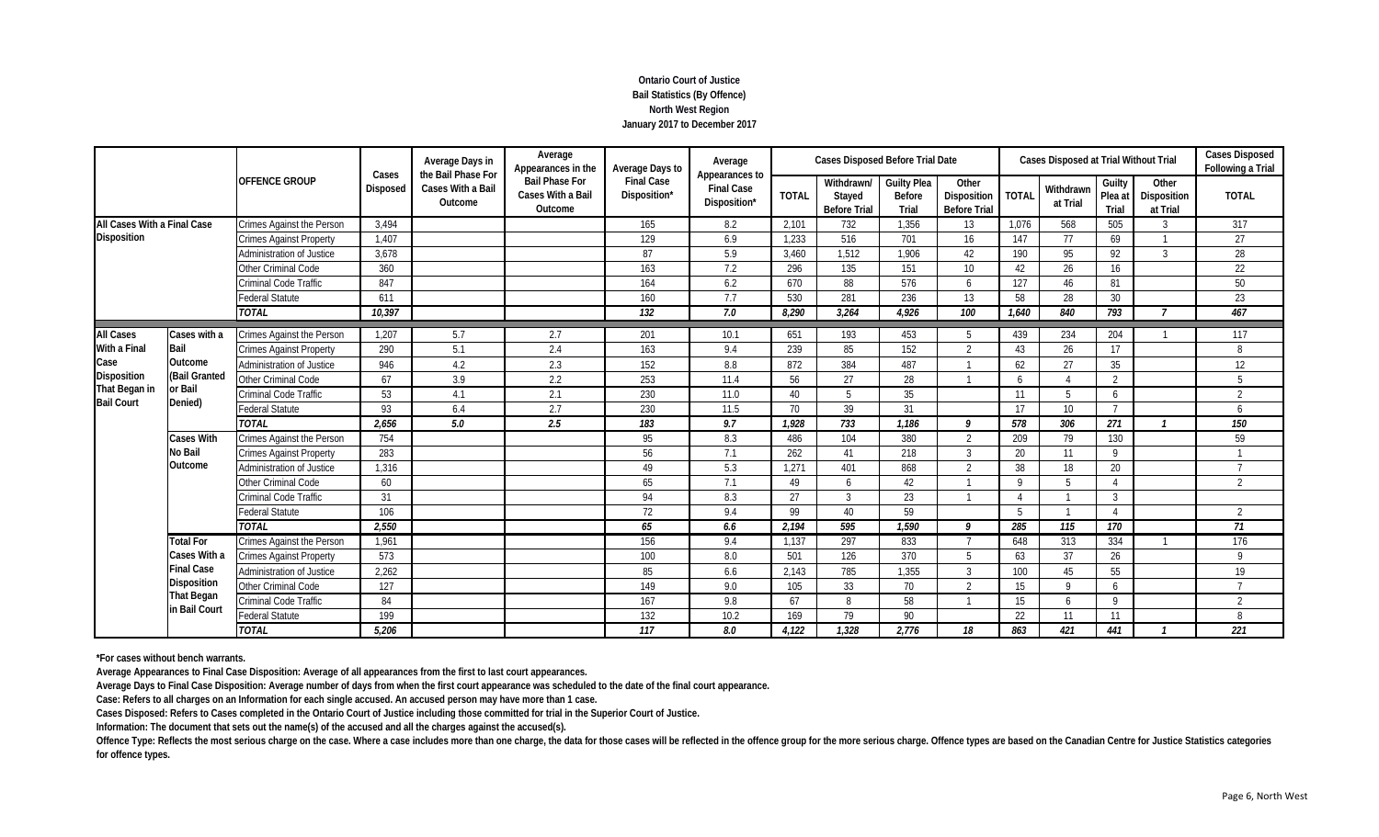# **Ontario Court of Justice Bail Statistics (By Offence) North West Region January 2017 to December 2017**

|                             |                     | <b>OFFENCE GROUP</b><br>Crimes Against the Person<br><b>Crimes Against Property</b><br>Administration of Justice | Cases    | Average Days in<br>the Bail Phase For | Average<br>Appearances in the                         | Average Days to                   | Average<br>Appearances to         |              | Cases Disposed Before Trial Date            |                                              |                                             |                 | Cases Disposed at Trial Without Trial |                            |                                  | <b>Cases Disposed</b><br>Following a Trial |
|-----------------------------|---------------------|------------------------------------------------------------------------------------------------------------------|----------|---------------------------------------|-------------------------------------------------------|-----------------------------------|-----------------------------------|--------------|---------------------------------------------|----------------------------------------------|---------------------------------------------|-----------------|---------------------------------------|----------------------------|----------------------------------|--------------------------------------------|
|                             |                     |                                                                                                                  | Disposed | Cases With a Bail<br>Outcome          | <b>Bail Phase For</b><br>Cases With a Bail<br>Outcome | <b>Final Case</b><br>Disposition* | <b>Final Case</b><br>Disposition* | <b>TOTAL</b> | Withdrawn/<br>Stayed<br><b>Before Trial</b> | <b>Guilty Plea</b><br><b>Before</b><br>Trial | Other<br>Disposition<br><b>Before Trial</b> | <b>TOTAL</b>    | Withdrawn<br>at Trial                 | Guilty<br>Plea at<br>Trial | Other<br>Disposition<br>at Trial | <b>TOTAL</b>                               |
| All Cases With a Final Case |                     |                                                                                                                  | 3,494    |                                       |                                                       | 165                               | 8.2                               | 2,101        | 732                                         | 1,356                                        | 13                                          | 1,076           | 568                                   | 505                        | 3                                | 317                                        |
| Disposition                 |                     |                                                                                                                  | 1,407    |                                       |                                                       | 129                               | 6.9                               | 1,233        | 516                                         | 701                                          | 16                                          | 147             | 77                                    | 69                         |                                  | 27                                         |
|                             |                     |                                                                                                                  | 3,678    |                                       |                                                       | 87                                | 5.9                               | 3,460        | 1.512                                       | 1.906                                        | 42                                          | 190             | 95                                    | 92                         | 3                                | 28                                         |
|                             |                     | Other Criminal Code                                                                                              | 360      |                                       |                                                       | 163                               | 7.2                               | 296          | 135                                         | 151                                          | 10                                          | 42              | 26                                    | 16                         |                                  | 22                                         |
|                             |                     | Criminal Code Traffic                                                                                            | 847      |                                       |                                                       | 164                               | $6.2\,$                           | 670          | 88                                          | 576                                          | 6                                           | 127             | 46                                    | 81                         |                                  | 50                                         |
|                             |                     | <b>Federal Statute</b>                                                                                           | 611      |                                       |                                                       | 160                               | 7.7                               | 530          | 281                                         | 236                                          | 13                                          | 58              | 28                                    | 30                         |                                  | 23                                         |
|                             |                     | <b>TOTAL</b>                                                                                                     | 10.397   |                                       |                                                       | 132                               | 7.0                               | 8.290        | 3.264                                       | 4.926                                        | 100                                         | 1,640           | 840                                   | 793                        | 7                                | 467                                        |
| <b>All Cases</b>            | Cases with a        | Crimes Against the Person                                                                                        | 1,207    | 5.7                                   | 2.7                                                   | 201                               | 10.1                              | 651          | 193                                         | 453                                          |                                             | 439             | 234                                   | 204                        |                                  | 117                                        |
| With a Final                | Bail                | <b>Crimes Against Property</b>                                                                                   | 290      | 5.1                                   | 2.4                                                   | 163                               | 9.4                               | 239          | 85                                          | 152                                          | $\gamma$                                    | 43              | 26                                    | 17                         |                                  | 8                                          |
| Case                        | Outcome             | <b>Administration of Justice</b>                                                                                 | 946      | 4.2                                   | 2.3                                                   | 152                               | 8.8                               | 872          | 384                                         | 487                                          |                                             | 62              | 27                                    | 35                         |                                  | 12                                         |
| <b>Disposition</b>          | (Bail Granted       | Other Criminal Code                                                                                              | 67       | 3.9                                   | 2.2                                                   | 253                               | 11.4                              | 56           | 27                                          | 28                                           |                                             | 6               | $\Lambda$                             | 2                          |                                  | 5                                          |
| That Began in               | <b>or Bail</b>      | Criminal Code Traffic                                                                                            | 53       | 4.1                                   | 2.1                                                   | 230                               | 11.0                              | 40           | 5                                           | 35                                           |                                             | 11              | 5                                     | 6                          |                                  | $\overline{2}$                             |
| <b>Bail Court</b>           | Denied)             | <b>Federal Statute</b>                                                                                           | 93       | 6.4                                   | 2.7                                                   | 230                               | 11.5                              | 70           | 39                                          | 31                                           |                                             | 17              | 10 <sup>°</sup>                       |                            |                                  | 6                                          |
|                             |                     | <b>TOTAL</b>                                                                                                     | 2.656    | 5.0                                   | 2.5                                                   | 183                               | 9.7                               | 1.928        | 733                                         | 1.186                                        | Q                                           | 578             | 306                                   | 271                        |                                  | 150                                        |
|                             | <b>Cases With</b>   | Crimes Against the Person                                                                                        | 754      |                                       |                                                       | 95                                | 8.3                               | 486          | 104                                         | 380                                          | 2                                           | 209             | 79                                    | 130                        |                                  | 59                                         |
|                             | No Bail             | <b>Crimes Against Property</b>                                                                                   | 283      |                                       |                                                       | 56                                | 7.1                               | 262          | 41                                          | 218                                          | $\mathcal{R}$                               | 20              | 11                                    | $\mathsf Q$                |                                  |                                            |
|                             | Outcome             | Administration of Justice                                                                                        | 1,316    |                                       |                                                       | 49                                | 5.3                               | 1,271        | 401                                         | 868                                          | $\overline{2}$                              | 38              | 18                                    | 20                         |                                  |                                            |
|                             |                     | Other Criminal Code                                                                                              | 60       |                                       |                                                       | 65                                | 7.1                               | 49           | 6                                           | 42                                           |                                             | $\Omega$        | 5                                     | $\boldsymbol{\varLambda}$  |                                  | $\overline{2}$                             |
|                             |                     | Criminal Code Traffic                                                                                            | 31       |                                       |                                                       | 94                                | 8.3                               | 27           | 3                                           | 23                                           |                                             |                 |                                       | 3                          |                                  |                                            |
|                             |                     | <b>Federal Statute</b>                                                                                           | 106      |                                       |                                                       | 72                                | 9.4                               | 99           | 40                                          | 59                                           |                                             | $5\overline{5}$ |                                       | $\boldsymbol{\Lambda}$     |                                  | $\overline{2}$                             |
|                             |                     | <b>TOTAL</b>                                                                                                     | 2,550    |                                       |                                                       | 65                                | 6.6                               | 2,194        | 595                                         | 1,590                                        | $\boldsymbol{Q}$                            | 285             | 115                                   | 170                        |                                  | 71                                         |
|                             | <b>Total For</b>    | Crimes Against the Person                                                                                        | 1,961    |                                       |                                                       | 156                               | 9.4                               | 1,137        | 297                                         | 833                                          |                                             | 648             | 313                                   | 334                        |                                  | 176                                        |
|                             | <b>Cases With a</b> | <b>Crimes Against Property</b>                                                                                   | 573      |                                       |                                                       | 100                               | 8.0                               | 501          | 126                                         | 370                                          | 5                                           | 63              | 37                                    | 26                         |                                  | $\mathsf{Q}$                               |
|                             | <b>Final Case</b>   | <b>Administration of Justice</b>                                                                                 | 2,262    |                                       |                                                       | 85                                | 6.6                               | 2,143        | 785                                         | 1,355                                        | $\mathcal{L}$                               | 100             | 45                                    | 55                         |                                  | 19                                         |
|                             | Disposition         | Other Criminal Code                                                                                              | 127      |                                       |                                                       | 149                               | 9.0                               | 105          | 33                                          | 70                                           | $\mathfrak{D}$                              | 15              | $\mathsf{Q}$                          | 6                          |                                  |                                            |
|                             | <b>That Began</b>   | Criminal Code Traffic                                                                                            | 84       |                                       |                                                       | 167                               | 9.8                               | 67           | 8                                           | 58                                           |                                             | 15              | 6                                     | $\mathbf Q$                |                                  | $\overline{2}$                             |
|                             | in Bail Court       | Federal Statute                                                                                                  | 199      |                                       |                                                       | 132                               | 10.2                              | 169          | 79                                          | 90                                           |                                             | 22              | 11                                    | 11                         |                                  | 8                                          |
|                             |                     | <b>TOTAL</b>                                                                                                     | 5,206    |                                       |                                                       | 117                               | 8.0                               | 4.122        | 1.328                                       | 2.776                                        | 18                                          | 863             | 421                                   | 441                        |                                  | 221                                        |

**\*For cases without bench warrants.**

**Average Appearances to Final Case Disposition: Average of all appearances from the first to last court appearances.**

**Average Days to Final Case Disposition: Average number of days from when the first court appearance was scheduled to the date of the final court appearance.**

**Case: Refers to all charges on an Information for each single accused. An accused person may have more than 1 case.**

**Cases Disposed: Refers to Cases completed in the Ontario Court of Justice including those committed for trial in the Superior Court of Justice.**

**Information: The document that sets out the name(s) of the accused and all the charges against the accused(s).**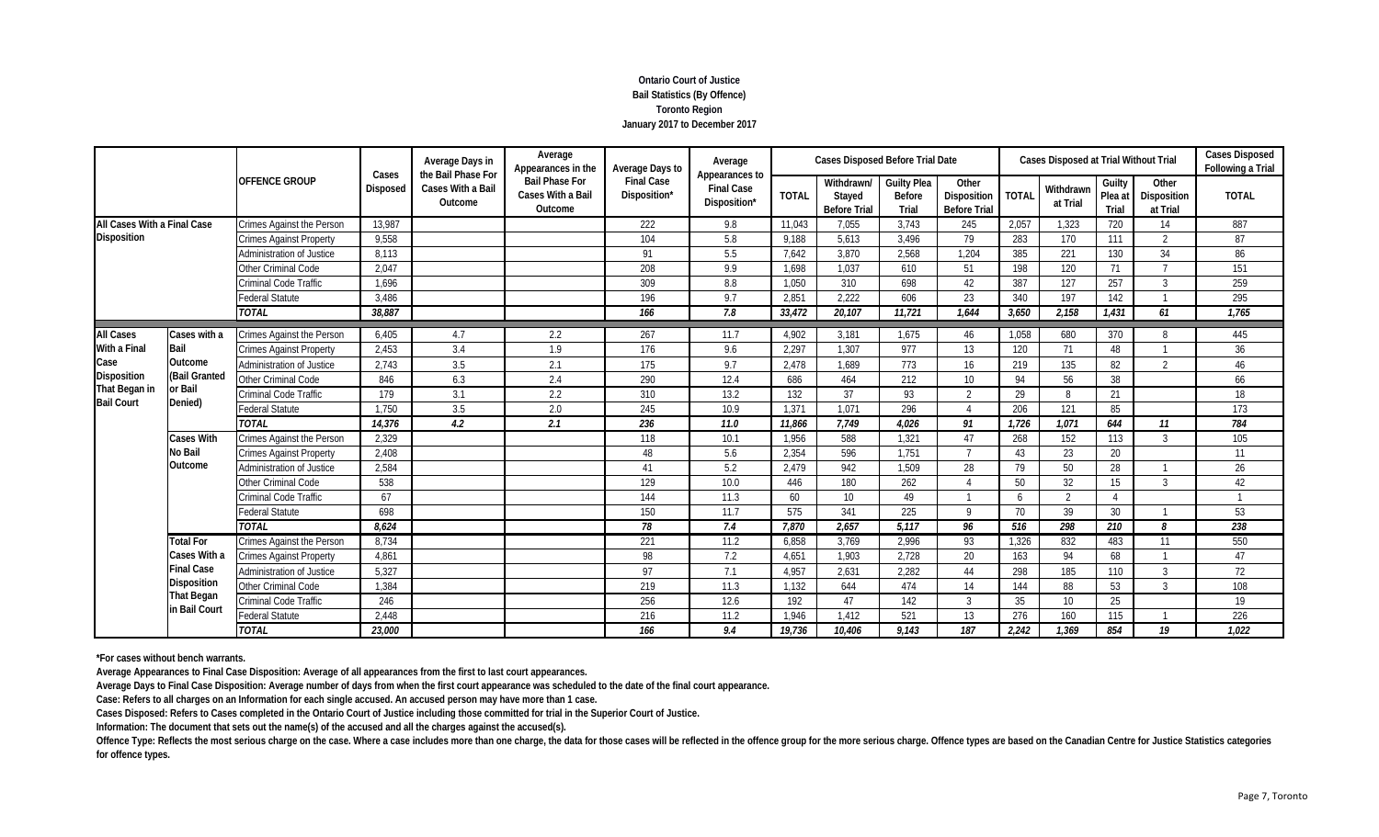# **Ontario Court of Justice Bail Statistics (By Offence) Toronto Region January 2017 to December 2017**

|                                    |                        | <b>OFFENCE GROUP</b><br>Crimes Against the Person<br><b>Crimes Against Property</b><br>Administration of Justice | Cases    | Average Days in<br>the Bail Phase For | Average<br>Appearances in the                         | Average Days to                   | Average<br>Appearances to         |              | <b>Cases Disposed Before Trial Date</b>     |                                              |                                             |              | Cases Disposed at Trial Without Trial |                            |                                  | Cases Disposed<br>Following a Trial |
|------------------------------------|------------------------|------------------------------------------------------------------------------------------------------------------|----------|---------------------------------------|-------------------------------------------------------|-----------------------------------|-----------------------------------|--------------|---------------------------------------------|----------------------------------------------|---------------------------------------------|--------------|---------------------------------------|----------------------------|----------------------------------|-------------------------------------|
|                                    |                        |                                                                                                                  | Disposed | <b>Cases With a Bail</b><br>Outcome   | <b>Bail Phase For</b><br>Cases With a Bail<br>Outcome | <b>Final Case</b><br>Disposition* | <b>Final Case</b><br>Disposition* | <b>TOTAL</b> | Withdrawn/<br>Stayed<br><b>Before Trial</b> | <b>Guilty Plea</b><br><b>Before</b><br>Trial | Other<br>Disposition<br><b>Before Trial</b> | <b>TOTAL</b> | Withdrawn<br>at Trial                 | Guilty<br>Plea at<br>Trial | Other<br>Disposition<br>at Trial | <b>TOTAL</b>                        |
| All Cases With a Final Case        |                        |                                                                                                                  | 13,987   |                                       |                                                       | 222                               | 9.8                               | 11.043       | 7,055                                       | 3.743                                        | 245                                         | 2,057        | 1,323                                 | 720                        | 14                               | 887                                 |
| <b>Disposition</b>                 |                        |                                                                                                                  | 9,558    |                                       |                                                       | 104                               | 5.8                               | 9.188        | 5,613                                       | 3.496                                        | 79                                          | 283          | 170                                   | 111                        | $\overline{2}$                   | 87                                  |
|                                    |                        |                                                                                                                  | 8.113    |                                       |                                                       | 91                                | 5.5                               | 7.642        | 3.870                                       | 2.568                                        | 1.204                                       | 385          | 221                                   | 130                        | 34                               | 86                                  |
|                                    |                        | Other Criminal Code                                                                                              | 2,047    |                                       |                                                       | 208                               | 9.9                               | 1,698        | 1,037                                       | 610                                          | 51                                          | 198          | 120                                   | 71                         |                                  | 151                                 |
|                                    |                        | Criminal Code Traffic                                                                                            | 1,696    |                                       |                                                       | 309                               | $8.8\,$                           | 1,050        | 310                                         | 698                                          | 42                                          | 387          | 127                                   | 257                        | 3                                | 259                                 |
|                                    |                        | <b>Federal Statute</b>                                                                                           | 3,486    |                                       |                                                       | 196                               | 9.7                               | 2,851        | 2,222                                       | 606                                          | 23                                          | 340          | 197                                   | 142                        |                                  | 295                                 |
| <b>All Cases</b><br>Cases with a   |                        | <b>TOTAL</b>                                                                                                     | 38.887   |                                       |                                                       | 166                               | 7.8                               | 33,472       | 20.107                                      | 11.721                                       | 1.644                                       | 3,650        | 2.158                                 | 1,431                      | 61                               | 1,765                               |
|                                    |                        | Crimes Against the Person                                                                                        | 6,405    | 4.7                                   | 2.2                                                   | 267                               | 11.7                              | 4,902        | 3,181                                       | 1,675                                        | 46                                          | 1,058        | 680                                   | 370                        | 8                                | 445                                 |
| With a Final                       | Bail                   | <b>Crimes Against Property</b>                                                                                   | 2,453    | 3.4                                   | 1.9                                                   | 176                               | 9.6                               | 2,297        | 1,307                                       | 977                                          | 13                                          | 120          | 71                                    | 48                         |                                  | 36                                  |
| Case                               | Outcome                | Administration of Justice                                                                                        | 2,743    | 3.5                                   | 2.1                                                   | 175                               | 9.7                               | 2,478        | 1.689                                       | 773                                          | 16                                          | 219          | 135                                   | 82                         | $\overline{2}$                   | 46                                  |
| Disposition                        | (Bail Granted          | Other Criminal Code                                                                                              | 846      | 6.3                                   | 2.4                                                   | 290                               | 12.4                              | 686          | 464                                         | 212                                          | 10 <sup>1</sup>                             | 94           | 56                                    | 38                         |                                  | 66                                  |
| That Began in<br><b>Bail Court</b> | or Bail                | Criminal Code Traffic                                                                                            | 179      | 3.1                                   | 2.2                                                   | 310                               | 13.2                              | 132          | 37                                          | 93                                           | $\overline{2}$                              | 29           | 8                                     | 21                         |                                  | 18                                  |
|                                    | Denied)                | <b>Federal Statute</b>                                                                                           | 1,750    | 3.5                                   | 2.0                                                   | 245                               | 10.9                              | 1,371        | 1.071                                       | 296                                          |                                             | 206          | 121                                   | 85                         |                                  | 173                                 |
|                                    |                        | <b>TOTAL</b>                                                                                                     | 14,376   | 4.2                                   | 2.1                                                   | 236                               | 11.0                              | 11.866       | 7.749                                       | 4.026                                        | 91                                          | 1.726        | 1.071                                 | 644                        | 11                               | 784                                 |
|                                    | <b>Cases With</b>      | Crimes Against the Person                                                                                        | 2,329    |                                       |                                                       | 118                               | 10.1                              | 1,956        | 588                                         | 1,321                                        | 47                                          | 268          | 152                                   | 113                        | 3                                | 105                                 |
|                                    | <b>No Bail</b>         | <b>Crimes Against Property</b>                                                                                   | 2,408    |                                       |                                                       | 48                                | 5.6                               | 2,354        | 596                                         | 1.751                                        | $\overline{7}$                              | 43           | 23                                    | 20                         |                                  | 11                                  |
|                                    | Outcome                | Administration of Justice                                                                                        | 2,584    |                                       |                                                       | 41                                | 5.2                               | 2,479        | 942                                         | 1,509                                        | 28                                          | 79           | 50                                    | 28                         |                                  | 26                                  |
|                                    |                        | Other Criminal Code                                                                                              | 538      |                                       |                                                       | 129                               | 10.0                              | 446          | 180                                         | 262                                          |                                             | 50           | 32                                    | 15                         | $\mathcal{R}$                    | 42                                  |
|                                    |                        | Criminal Code Traffic                                                                                            | 67       |                                       |                                                       | 144                               | 11.3                              | 60           | 10 <sup>°</sup>                             | 49                                           |                                             | 6            | 2                                     |                            |                                  |                                     |
|                                    | <b>Federal Statute</b> | 698                                                                                                              |          |                                       | 150                                                   | 11.7                              | 575                               | 341          | 225                                         | $\Omega$                                     | 70                                          | 39           | 30                                    |                            | 53                               |                                     |
|                                    |                        | <b>TOTAL</b>                                                                                                     | 8,624    |                                       |                                                       | 78                                | 7.4                               | 7,870        | 2,657                                       | 5,117                                        | 96                                          | 516          | 298                                   | 210                        | 8                                | 238                                 |
|                                    | <b>Total For</b>       | Crimes Against the Person                                                                                        | 8,734    |                                       |                                                       | 221                               | 11.2                              | 6,858        | 3,769                                       | 2,996                                        | 93                                          | 1,326        | 832                                   | 483                        | 11                               | 550                                 |
|                                    | Cases With a           | Crimes Against Property                                                                                          | 4,861    |                                       |                                                       | 98                                | 7.2                               | 4,651        | 1,903                                       | 2,728                                        | 20                                          | 163          | 94                                    | 68                         |                                  | 47                                  |
|                                    | <b>Final Case</b>      | Administration of Justice                                                                                        | 5,327    |                                       |                                                       | 97                                | 7.1                               | 4,957        | 2,631                                       | 2.282                                        | 44                                          | 298          | 185                                   | 110                        | $\mathcal{S}$                    | 72                                  |
|                                    | Disposition            | Other Criminal Code                                                                                              | 1,384    |                                       |                                                       | 219                               | 11.3                              | 1,132        | 644                                         | 474                                          | 14                                          | 144          | 88                                    | 53                         | $\mathcal{R}$                    | 108                                 |
|                                    | <b>That Began</b>      | Criminal Code Traffic                                                                                            | 246      |                                       |                                                       | 256                               | 12.6                              | 192          | 47                                          | 142                                          | 3                                           | 35           | 10 <sup>1</sup>                       | 25                         |                                  | 19                                  |
|                                    | in Bail Court          | Federal Statute                                                                                                  | 2,448    |                                       |                                                       | 216                               | 11.2                              | 1.946        | 1.412                                       | 521                                          | 13                                          | 276          | 160                                   | 115                        |                                  | 226                                 |
|                                    |                        | <b>TOTAL</b>                                                                                                     | 23,000   |                                       |                                                       | 166                               | 9.4                               | 19.736       | 10.406                                      | 9.143                                        | 187                                         | 2.242        | 1.369                                 | 854                        | 19                               | 1.022                               |

**\*For cases without bench warrants.**

**Average Appearances to Final Case Disposition: Average of all appearances from the first to last court appearances.**

**Average Days to Final Case Disposition: Average number of days from when the first court appearance was scheduled to the date of the final court appearance.**

**Case: Refers to all charges on an Information for each single accused. An accused person may have more than 1 case.**

**Cases Disposed: Refers to Cases completed in the Ontario Court of Justice including those committed for trial in the Superior Court of Justice.**

**Information: The document that sets out the name(s) of the accused and all the charges against the accused(s).**